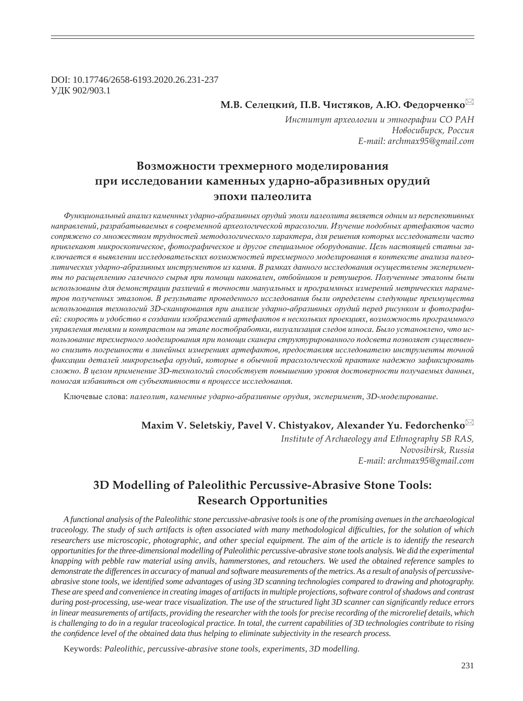DOI: 10.17746/2658-6193.2020.26.231-237 УДК 902/903.1

 $M.B.$  Селецкий, П.В. Чистяков, А.Ю. Федорченко<sup>⊠</sup>

Институт археологии и этнографии СО РАН  $H$ овосибирск, Россия *E-mail: archmax95@gmail.com*

# Возможности трехмерного моделирования при исследовании каменных ударно-абразивных орудий эпохи палеолита

*Ɏɭɧɤɰɢɨɧɚɥɶɧɵɣ ɚɧɚɥɢɡ ɤɚɦɟɧɧɵɯ ɭɞɚɪɧɨ-ɚɛɪɚɡɢɜɧɵɯ ɨɪɭɞɢɣ ɷɩɨɯɢ ɩɚɥɟɨɥɢɬɚ ɹɜɥɹɟɬɫɹ ɨɞɧɢɦ ɢɡ ɩɟɪɫɩɟɤɬɢɜɧɵɯ* направлений, разрабатываемых в современной археологической трасологии. Изучение подобных артефактов часто сопряжено со множеством трудностей методологического характера, для решения которых исследователи часто привлекают микроскопическое, фотографическое и другое специальное оборудование. Цель настоящей статьи заключается в выявлении исследовательских возможностей трехмерного моделирования в контексте анализа палеолитических ударно-абразивных инструментов из камня. В рамках данного исследования осуществлены эксперименты по расщеплению галечного сырья при помощи наковален, отбойников и ретушеров. Полученные эталоны были использованы для демонстрации различий в точности мануальных и программных измерений метрических параметров полученных эталонов. В результате проведенного исследования были определены следующие преимущества использования технологий 3D-сканирования при анализе ударно-абразивных орудий перед рисунком и фотографией: скорость и удобство в создании изображений артефактов в нескольких проекциях, возможность программного управления тенями и контрастом на этапе постобработки, визуализация следов износа. Было установлено, что использование трехмерного моделирования при помощи сканера структурированного подсвета позволяет существенно снизить погрешности в линейных измерениях артефактов, предоставляя исследователю инструменты точной  $\phi$ иксации деталей микрорельефа орудий, которые в обычной трасологической практике надежно зафиксировать сложно. В целом применение 3D-технологий способствует повышению уровня достоверности получаемых данных, помогая избавиться от субъективности в процессе исследования.

Ключевые слова: палеолит, каменные ударно-абразивные орудия, эксперимент, 3D-моделирование.

# **Maxim V. Seletskiy, Pavel V. Chistyakov, Alexander Yu. Fedorchenko**

*Institute of Archaeology and Ethnography SB RAS, Novosibirsk, Russia E-mail: archmax95@gmail.com*

# **3D Modelling of Paleolithic Percussive-Abrasive Stone Tools: Research Opportunities**

*A functional analysis of the Paleolithic stone percussive-abrasive tools is one of the promising avenues in the archaeological traceology. The study of such artifacts is often associated with many methodological dif¿ culties, for the solution of which researchers use microscopic, photographic, and other special equipment. The aim of the article is to identify the research opportunities for the three-dimensional modelling of Paleolithic percussive-abrasive stone tools analysis. We did the experimental knapping with pebble raw material using anvils, hammerstones, and retouchers. We used the obtained reference samples to demonstrate the differences in accuracy of manual and software measurements of the metrics. As a result of analysis of percussiveabrasive stone tools, we identified some advantages of using 3D scanning technologies compared to drawing and photography. These are speed and convenience in creating images of artifacts in multiple projections, software control of shadows and contrast during post-processing, use-wear trace visualization. The use of the structured light 3D scanner can significantly reduce errors in linear measurements of artifacts, providing the researcher with the tools for precise recording of the microrelief details, which is challenging to do in a regular traceological practice. In total, the current capabilities of 3D technologies contribute to rising the confidence level of the obtained data thus helping to eliminate subjectivity in the research process.* 

Keywords: *Paleolithic, percussive-abrasive stone tools, experiments, 3D modelling.*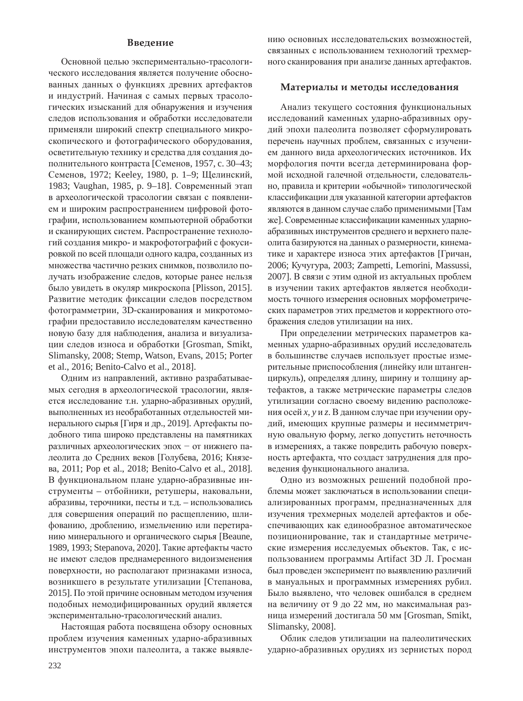### **Введение**

Основной целью экспериментально-трасологического исследования является получение обоснованных данных о функциях древних артефактов и индустрий. Начиная с самых первых трасологических изысканий для обнаружения и изучения следов использования и обработки исследователи применяли широкий спектр специального микроскопического и фотографического оборудования, осветительную технику и средства для создания дополнительного контраста [Семенов, 1957, с. 30-43; Семенов, 1972; Keeley, 1980, p. 1-9; Щелинский, 1983; Vaughan, 1985, p. 9-18]. Современный этап в археологической трасологии связан с появлением и широким распространением цифровой фотографии, использованием компьютерной обработки и сканирующих систем. Распространение технологий создания микро- и макрофотографий с фокусировкой по всей площади одного кадра, созданных из множества частично резких снимков, позволило получать изображение следов, которые ранее нельзя было увидеть в окуляр микроскопа [Plisson, 2015]. Развитие методик фиксации следов посредством фотограмметрии, 3D-сканирования и микротомографии предоставило исследователям качественно новую базу для наблюдения, анализа и визуализации следов износа и обработки [Grosman, Smikt, Slimansky, 2008; Stemp, Watson, Evans, 2015; Porter et al., 2016; Benito-Calvo et al., 2018].

Одним из направлений, активно разрабатываемых сегодня в археологической трасологии, является исследование т.н. ударно-абразивных орудий, выполненных из необработанных отдельностей минерального сырья [Гиря и др., 2019]. Артефакты подобного типа широко представлены на памятниках различных археологических эпох - от нижнего палеолита до Средних веков [Голубева, 2016; Князеɜɚ, 2011; Pop et al., 2018; Benito-Calvo et al., 2018]. В функциональном плане ударно-абразивные инструменты – отбойники, ретушеры, наковальни, абразивы, терочники, песты и т.д. - использовались для совершения операций по расщеплению, шлифованию, дроблению, измельчению или перетиранию минерального и органического сырья [Beaune, 1989, 1993; Stepanova, 2020]. Такие артефакты часто не имеют следов преднамеренного видоизменения поверхности, но располагают признаками износа, возникшего в результате утилизации [Степанова, 2015]. По этой причине основным методом изучения подобных немодифицированных орудий является экспериментально-трасологический анализ.

Настоящая работа посвящена обзору основных проблем изучения каменных ударно-абразивных инструментов эпохи палеолита, а также выявлению основных исследовательских возможностей, связанных с использованием технологий трехмерного сканирования при анализе данных артефактов.

#### Материалы и методы исследования

Анализ текущего состояния функциональных исследований каменных ударно-абразивных орудий эпохи палеолита позволяет сформулировать перечень научных проблем, связанных с изучением данного вида археологических источников. Их морфология почти всегда детерминирована формой исходной галечной отдельности, следовательно, правила и критерии «обычной» типологической классификации для указанной категории артефактов являются в данном случае слабо применимыми [Там же]. Современные классификации каменных ударноабразивных инструментов среднего и верхнего палеолита базируются на данных о размерности, кинематике и характере износа этих артефактов [Гричан, 2006; Ʉɭɱɭɝɭɪɚ, 2003; Zampetti, Lemorini, Massussi, 2007]. В связи с этим одной из актуальных проблем в изучении таких артефактов является необходимость точного измерения основных морфометрических параметров этих предметов и корректного отображения следов утилизации на них.

При определении метрических параметров каменных ударно-абразивных орудий исследователь в большинстве случаев использует простые измерительные приспособления (линейку или штангенциркуль), определяя длину, ширину и толщину артефактов, а также метрические параметры следов утилизации согласно своему видению расположения осей *x*, *у* и *z*. В данном случае при изучении орудий, имеющих крупные размеры и несимметричную овальную форму, легко допустить неточность в измерениях, а также повредить рабочую поверхность артефакта, что создаст затруднения для проведения функционального анализа.

Одно из возможных решений подобной проблемы может заключаться в использовании специализированных программ, предназначенных для изучения трехмерных моделей артефактов и обеспечивающих как единообразное автоматическое позиционирование, так и стандартные метрические измерения исследуемых объектов. Так, с использованием программы Artifact 3D Л. Гросман был проведен эксперимент по выявлению различий в мануальных и программных измерениях рубил. Было выявлено, что человек ошибался в среднем на величину от 9 до 22 мм, но максимальная разница измерений достигала 50 мм [Grosman, Smikt, Slimansky, 2008].

Облик следов утилизации на палеолитических ударно-абразивных орудиях из зернистых пород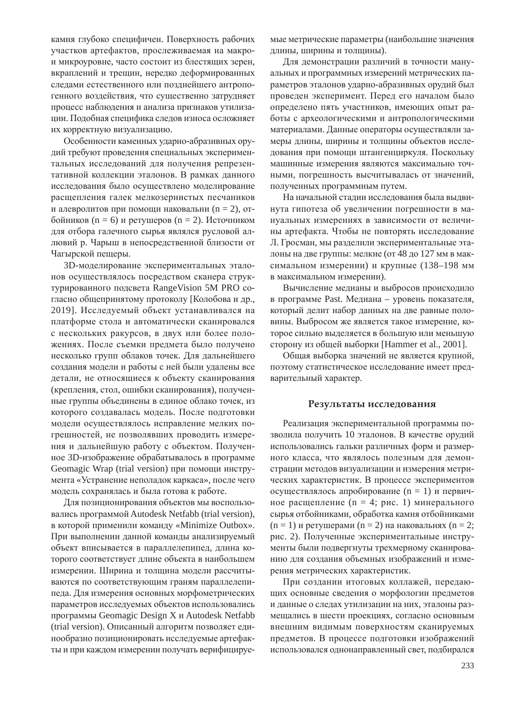камня глубоко специфичен. Поверхность рабочих участков артефактов, прослеживаемая на макрои микроуровне, часто состоит из блестящих зерен, вкраплений и трещин, нередко деформированных следами естественного или позднейшего антропогенного воздействия, что существенно затрудняет процесс наблюдения и анализа признаков утилизации. Подобная специфика следов износа осложняет их корректную визуализацию.

Особенности каменных ударно-абразивных орудий требуют проведения специальных экспериментальных исследований для получения репрезентативной коллекции эталонов. В рамках данного исследования было осуществлено моделирование расшепления галек мелкозернистых песчаников и алевролитов при помощи наковальни (n = 2), от- $\phi$ бойников (n = 6) и ретушеров (n = 2). Источником для отбора галечного сырья являлся русловой аллювий р. Чарыш в непосредственной близости от Чагырской пещеры.

3D-моделирование экспериментальных эталонов осуществлялось посредством сканера структурированного подсвета RangeVision 5M PRO согласно общепринятому протоколу [Колобова и др., 2019]. Исследуемый объект устанавливался на платформе стола и автоматически сканировался с нескольких ракурсов, в двух или более положениях. После съемки предмета было получено несколько групп облаков точек. Для дальнейшего создания модели и работы с ней были удалены все детали, не относящиеся к объекту сканирования (крепления, стол, ошибки сканирования), полученные группы объединены в единое облако точек, из которого создавалась модель. После подготовки модели осуществлялось исправление мелких погрешностей, не позволявших проводить измерения и дальнейшую работу с объектом. Полученное 3D-изображение обрабатывалось в программе Geomagic Wrap (trial version) при помощи инструмента «Устранение неполадок каркаса», после чего модель сохранялась и была готова к работе.

Для позиционирования объектов мы воспользовались программой Autodesk Netfabb (trial version), в которой применили команду «Minimize Outbox». При выполнении данной команды анализируемый объект вписывается в параллелепипед, длина которого соответствует длине объекта в наибольшем измерении. Ширина и толщина модели рассчитываются по соответствующим граням параллелепипеда. Для измерения основных морфометрических параметров исследуемых объектов использовались программы Geomagic Design X и Autodesk Netfabb (trial version). Описанный алгоритм позволяет единообразно позиционировать исследуемые артефакты и при каждом измерении получать верифицируемые метрические параметры (наибольшие значения длины, ширины и толщины).

Для демонстрации различий в точности мануальных и программных измерений метрических параметров эталонов ударно-абразивных орудий был проведен эксперимент. Перед его началом было определено пять участников, имеющих опыт работы с археологическими и антропологическими материалами. Данные операторы осуществляли замеры длины, ширины и толщины объектов исследования при помощи штангенциркуля. Поскольку машинные измерения являются максимально точными, погрешность высчитывалась от значений, полученных программным путем.

На начальной стадии исследования была выдвинута гипотеза об увеличении погрешности в мануальных измерениях в зависимости от величины артефакта. Чтобы не повторять исследование Л. Гросман, мы разделили экспериментальные эталоны на две группы: мелкие (от 48 до 127 мм в максимальном измерении) и крупные (138–198 мм в максимальном измерении).

Вычисление медианы и выбросов происходило в программе Past. Медиана – уровень показателя, который делит набор данных на две равные половины. Выбросом же является такое измерение, которое сильно выделяется в большую или меньшую сторону из общей выборки [Hammer et al., 2001].

Общая выборка значений не является крупной, поэтому статистическое исследование имеет предварительный характер.

#### Результаты исследования

Реализация экспериментальной программы позволила получить 10 эталонов. В качестве орудий использовались гальки различных форм и размерного класса, что являлось полезным для демонстрации методов визуализации и измерения метрических характеристик. В процессе экспериментов осуществлялось апробирование (n = 1) и первичное расщепление (n = 4; рис. 1) минерального сырья отбойниками, обработка камня отбойниками  $(n = 1)$  и ретушерами  $(n = 2)$  на наковальнях  $(n = 2)$ ; рис. 2). Полученные экспериментальные инструменты были подвергнуты трехмерному сканированию для создания объемных изображений и измерения метрических характеристик.

При создании итоговых коллажей, передающих основные сведения о морфологии предметов и данные о следах утилизации на них, эталоны размещались в шести проекциях, согласно основным внешним видимым поверхностям сканируемых предметов. В процессе подготовки изображений использовался однонаправленный свет, подбирался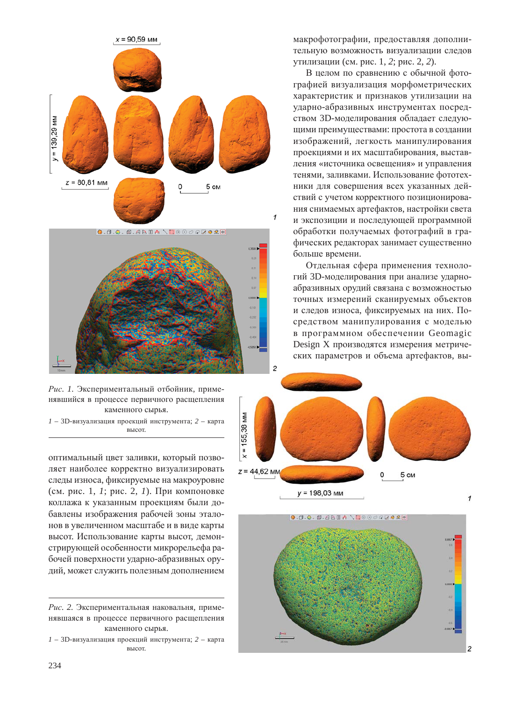

Рис. 1. Экспериментальный отбойник, применявшийся в процессе первичного расщепления каменного сырья.

 $1 - 3$ D-визуализация проекций инструмента; 2 – карта высот.

оптимальный цвет заливки, который позволяет наиболее корректно визуализировать следы износа, фиксируемые на макроуровне (см. рис. 1, *1*; рис. 2, *1*). При компоновке коллажа к указанным проекциям были добавлены изображения рабочей зоны эталонов в увеличенном масштабе и в виде карты высот. Использование карты высот, демонстрирующей особенности микрорельефа рабочей поверхности ударно-абразивных орудий, может служить полезным дополнением

Рис. 2. Экспериментальная наковальня, применявшаяся в процессе первичного расщепления каменного сырья.

1 – 3D-визуализация проекций инструмента; 2 – карта **BLICOT** 

макрофотографии, предоставляя дополнительную возможность визуализации следов утилизации (см. рис. 1, 2; рис. 2, 2).

В целом по сравнению с обычной фотографией визуализация морфометрических характеристик и признаков утилизации на ударно-абразивных инструментах посредством 3D-моделирования обладает следующими преимуществами: простота в создании изображений, легкость манипулирования проекциями и их масштабирования, выставления «источника освещения» и управления тенями, заливками. Использование фототехники для совершения всех указанных действий с учетом корректного позиционирования снимаемых артефактов, настройки света и экспозиции и последующей программной обработки получаемых фотографий в графических редакторах занимает существенно больше времени.

Отдельная сфера применения технологий 3D-моделирования при анализе ударноабразивных орудий связана с возможностью точных измерений сканируемых объектов и следов износа, фиксируемых на них. Посредством манипулирования с моделью в программном обеспечении Geomagic Design X производятся измерения метрических параметров и объема артефактов, вы-



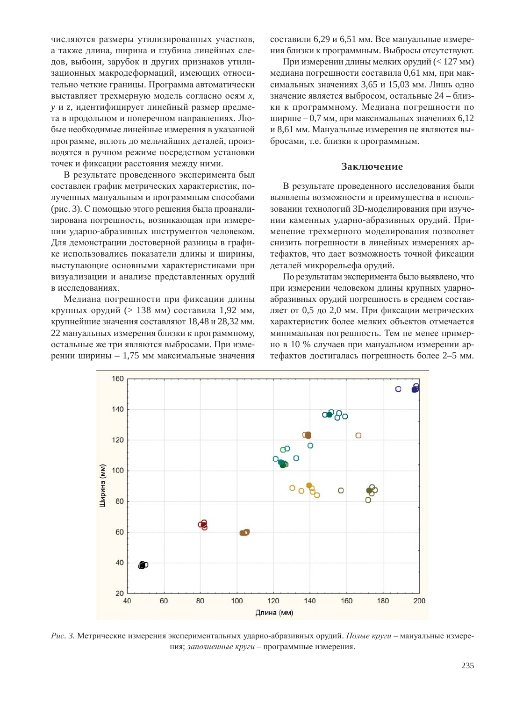числяются размеры утилизированных участков, а также длина, ширина и глубина линейных следов, выбоин, зарубок и других признаков утилизационных макродеформаций, имеющих относительно четкие границы. Программа автоматически выставляет трехмерную модель согласно осям *x*, у и *z*, идентифицирует линейный размер предмета в продольном и поперечном направлениях. Любые необходимые линейные измерения в указанной программе, вплоть до мельчайших деталей, производятся в ручном режиме посредством установки точек и фиксации расстояния между ними.

В результате проведенного эксперимента был составлен график метрических характеристик, полученных мануальным и программным способами (рис. 3). С помощью этого решения была проанализирована погрешность, возникающая при измерении ударно-абразивных инструментов человеком. Для демонстрации достоверной разницы в графике использовались показатели длины и ширины, выступающие основными характеристиками при визуализации и анализе представленных орудий в исследованиях.

Медиана погрешности при фиксации длины крупных орудий (> 138 мм) составила 1,92 мм, крупнейшие значения составляют 18,48 и 28,32 мм. 22 мануальных измерения близки к программному, остальные же три являются выбросами. При измерении ширины – 1,75 мм максимальные значения составили 6,29 и 6,51 мм. Все мануальные измерения близки к программным. Выбросы отсутствуют.

При измерении длины мелких орудий  $(< 127$  мм) медиана погрешности составила 0,61 мм, при максимальных значениях 3,65 и 15,03 мм. Лишь одно значение является выбросом, остальные 24 – близки к программному. Медиана погрешности по ширине – 0,7 мм, при максимальных значениях 6,12 и 8,61 мм. Мануальные измерения не являются выбросами, т.е. близки к программным.

## Заключение

В результате проведенного исследования были выявлены возможности и преимущества в использовании технологий 3D-моделирования при изучении каменных ударно-абразивных орудий. Применение трехмерного моделирования позволяет снизить погрешности в линейных измерениях артефактов, что дает возможность точной фиксации деталей микрорельефа орудий.

По результатам эксперимента было выявлено, что при измерении человеком длины крупных ударноабразивных орудий погрешность в среднем составляет от 0,5 до 2,0 мм. При фиксации метрических характеристик более мелких объектов отмечается минимальная погрешность. Тем не менее примерно в 10 % случаев при мануальном измерении артефактов достигалась погрешность более 2–5 мм.



Рис. 3. Метрические измерения экспериментальных ударно-абразивных орудий. Полые круги – мануальные измерения; заполненные круги - программные измерения.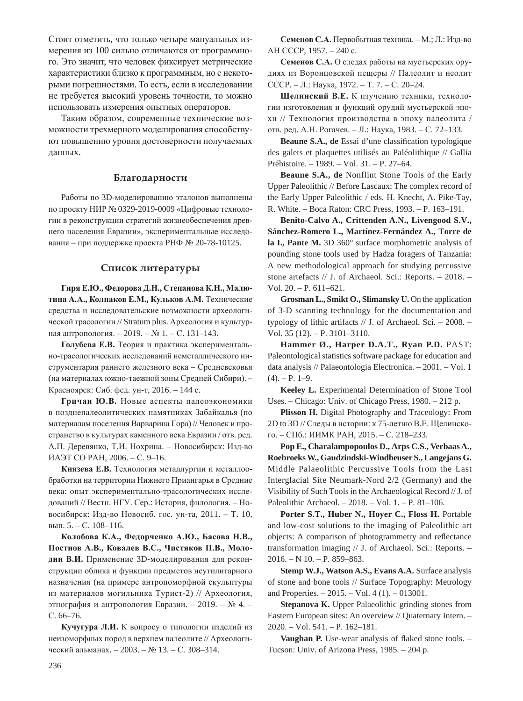Стоит отметить, что только четыре мануальных измерения из 100 сильно отличаются от программного. Это значит, что человек фиксирует метрические характеристики близко к программным, но с некоторыми погрешностями. То есть, если в исследовании не требуется высокий уровень точности, то можно использовать измерения опытных операторов.

Таким образом, современные технические возможности трехмерного моделирования способствуют повышению уровня достоверности получаемых данных.

### **Благодарности**

Работы по 3D-моделированию эталонов выполнены по проекту НИР № 0329-2019-0009 «Цифровые технологии в реконструкции стратегий жизнеобеспечения древнего населения Евразии», экспериментальные исследования – при поддержке проекта РНФ № 20-78-10125.

#### Список литературы

 $\Gamma$ иря Е.Ю., Федорова Д.Н., Степанова К.Н., Малютина А.А., Колпаков Е.М., Кульков А.М. Технические средства и исследовательские возможности археологической трасологии // Stratum plus. Археология и культурная антропология. – 2019. – № 1. – С. 131–143.

Голубева Е.В. Теория и практика экспериментально-трасологических исследований неметаллического инструментария раннего железного века - Средневековья (на материалах южно-таежной зоны Средней Сибири). – Красноярск: Сиб. фед. ун-т, 2016. – 144 с.

Гричан Ю.В. Новые аспекты палеоэкономики в позднепалеолитических памятниках Забайкалья (по материалам поселения Варварина Гора) // Человек и пространство в культурах каменного века Евразии / отв. ред. А.П. Деревянко, Т.И. Нохрина. – Новосибирск: Изд-во ИАЭТ СО РАН, 2006. – С. 9-16.

Князева Е.В. Технология металлургии и металлообработки на территории Нижнего Приангарья в Средние века: опыт экспериментально-трасологических исследований // Вестн. НГУ. Сер.: История, филология. - Новосибирск: Изд-во Новосиб. гос. ун-та, 2011. – Т. 10, вып. 5. – С. 108–116.

Колобова К.А., Федорченко А.Ю., Басова Н.В., Постнов А.В., Ковалев В.С., Чистяков П.В., Молодин В.И. Применение 3D-моделирования для реконструкции облика и функции предметов неутилитарного назначения (на примере антропоморфной скульптуры из материалов могильника Турист-2) // Археология, этнография и антропология Евразии. - 2019. - № 4. ɋ. 66–76.

Кучугура Л.И. К вопросу о типологии изделий из неизоморфных пород в верхнем палеолите // Археологический альманах. – 2003. – № 13. – С. 308–314.

Семенов С.А. Первобытная техника. - М.; Л.: Изд-во AH CCCP, 1957. – 240 c.

Семенов С.А. О следах работы на мустьерских орудиях из Воронцовской пещеры // Палеолит и неолит СССР. – Л.: Наука, 1972. – Т. 7. – С. 20–24.

**Шелинский В.Е.** К изучению техники, технологии изготовления и функций орудий мустьерской эпохи // Технология производства в эпоху палеолита / отв. ред. А.Н. Рогачев. – Л.: Наука, 1983. – С. 72–133.

**Beaune S.A., de Essai** d'une classification typologique des galets et plaquettes utilisés au Paléolithique // Gallia Préhistoire. – 1989. – Vol. 31. – P. 27–64.

**Beaune S.A., de** Nonflint Stone Tools of the Early Upper Paleolithic // Before Lascaux: The complex record of the Early Upper Paleolithic / eds. H. Knecht, A. Pike-Tay, R. White. – Boca Raton: CRC Press, 1993. – P. 163–191.

**Benito-Calvo A., Crittenden A.N., Livengood S.V., Sánchez-Romero L., Martínez-Fernández A., Torre de la I., Pante M.** 3D 360° surface morphometric analysis of pounding stone tools used by Hadza foragers of Tanzania: A new methodological approach for studying percussive stone artefacts // J. of Archaeol. Sci.: Reports. – 2018. – Vol. 20. – P. 611–621.

**Grosman L., Smikt O., Slimansky U.** On the application of 3-D scanning technology for the documentation and typology of lithic artifacts // J. of Archaeol. Sci. – 2008. – Vol. 35 (12). – P. 3101–3110.

**Hammer Ø., Harper D.A.T., Ryan P.D.** PAST: Paleontological statistics software package for education and data analysis // Palaeontologia Electronica. – 2001. – Vol. 1  $(4)$ . – P. 1–9.

**Keeley L.** Experimental Determination of Stone Tool Uses. – Chicago: Univ. of Chicago Press, 1980. – 212 p.

**Plisson H.** Digital Photography and Traceology: From 2D to 3D // Следы в истории: к 75-летию В.Е. Щелинского. – СПб.: ИИМК РАН, 2015. – С. 218–233.

**Pop E., Charalampopoulos D., Arps C.S., Verbaas A., Roebroeks W., Gaudzindski-Windheuser S., Langejans G.** Middle Palaeolithic Percussive Tools from the Last Interglacial Site Neumark-Nord 2/2 (Germany) and the Visibility of Such Tools in the Archaeological Record // J. of Paleolithic Archaeol. – 2018. – Vol. 1. – P. 81–106.

**Porter S.T., Huber N., Hoyer C., Floss H.** Portable and low-cost solutions to the imaging of Paleolithic art objects: A comparison of photogrammetry and reflectance transformation imaging // J. of Archaeol. Sci.: Reports. – 2016. – N 10. – P. 859–863.

**Stemp W.J., Watson A.S., Evans A.A.** Surface analysis of stone and bone tools // Surface Topography: Metrology and Properties. – 2015. – Vol. 4 (1). – 013001.

**Stepanova K.** Upper Palaeolithic grinding stones from Eastern European sites: An overview // Quaternary Intern. – 2020. – Vol. 541. – P. 162–181.

**Vaughan P.** Use-wear analysis of flaked stone tools. – Tucson: Univ. of Arizona Press, 1985. – 204 p.